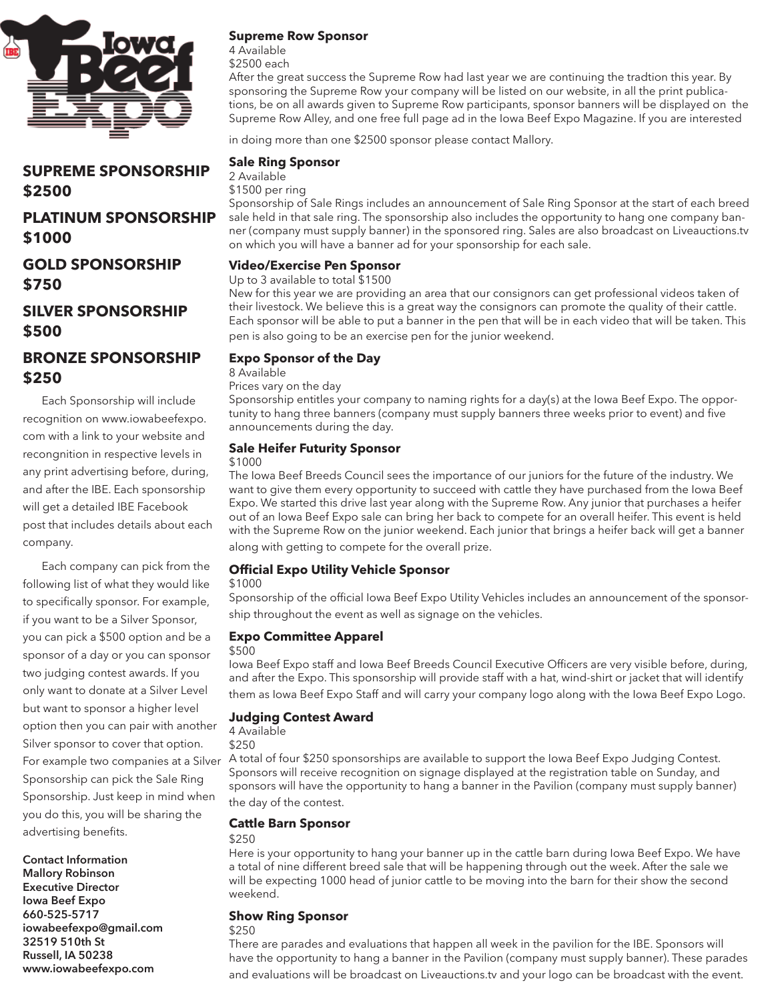

# **SUPREME SPONSORSHIP \$2500**

## **PLATINUM SPONSORSHIP \$1000**

**GOLD SPONSORSHIP \$750**

## **SILVER SPONSORSHIP \$500**

# **BRONZE SPONSORSHIP \$250**

Each Sponsorship will include recognition on www.iowabeefexpo. com with a link to your website and recongnition in respective levels in any print advertising before, during, and after the IBE. Each sponsorship will get a detailed IBE Facebook post that includes details about each company.

Each company can pick from the following list of what they would like to specifically sponsor. For example, if you want to be a Silver Sponsor, you can pick a \$500 option and be a sponsor of a day or you can sponsor two judging contest awards. If you only want to donate at a Silver Level but want to sponsor a higher level option then you can pair with another Silver sponsor to cover that option. For example two companies at a Silver Sponsorship can pick the Sale Ring Sponsorship. Just keep in mind when you do this, you will be sharing the advertising benefits.

**Contact Information Mallory Robinson Executive Director Iowa Beef Expo 660-525-5717 iowabeefexpo@gmail.com 32519 510th St Russell, IA 50238 www.iowabeefexpo.com**

#### **Supreme Row Sponsor**

4 Available \$2500 each

After the great success the Supreme Row had last year we are continuing the tradtion this year. By sponsoring the Supreme Row your company will be listed on our website, in all the print publications, be on all awards given to Supreme Row participants, sponsor banners will be displayed on the Supreme Row Alley, and one free full page ad in the Iowa Beef Expo Magazine. If you are interested

in doing more than one \$2500 sponsor please contact Mallory.

#### **Sale Ring Sponsor**

2 Available

\$1500 per ring

Sponsorship of Sale Rings includes an announcement of Sale Ring Sponsor at the start of each breed sale held in that sale ring. The sponsorship also includes the opportunity to hang one company banner (company must supply banner) in the sponsored ring. Sales are also broadcast on Liveauctions.tv on which you will have a banner ad for your sponsorship for each sale.

#### **Video/Exercise Pen Sponsor**

#### Up to 3 available to total \$1500

New for this year we are providing an area that our consignors can get professional videos taken of their livestock. We believe this is a great way the consignors can promote the quality of their cattle. Each sponsor will be able to put a banner in the pen that will be in each video that will be taken. This pen is also going to be an exercise pen for the junior weekend.

#### **Expo Sponsor of the Day**

8 Available

Prices vary on the day

Sponsorship entitles your company to naming rights for a day(s) at the Iowa Beef Expo. The opportunity to hang three banners (company must supply banners three weeks prior to event) and five announcements during the day.

#### **Sale Heifer Futurity Sponsor**

#### \$1000

The Iowa Beef Breeds Council sees the importance of our juniors for the future of the industry. We want to give them every opportunity to succeed with cattle they have purchased from the Iowa Beef Expo. We started this drive last year along with the Supreme Row. Any junior that purchases a heifer out of an Iowa Beef Expo sale can bring her back to compete for an overall heifer. This event is held with the Supreme Row on the junior weekend. Each junior that brings a heifer back will get a banner along with getting to compete for the overall prize.

#### **Official Expo Utility Vehicle Sponsor**

#### \$1000

Sponsorship of the official Iowa Beef Expo Utility Vehicles includes an announcement of the sponsorship throughout the event as well as signage on the vehicles.

#### **Expo Committee Apparel**

#### \$500

Iowa Beef Expo staff and Iowa Beef Breeds Council Executive Officers are very visible before, during, and after the Expo. This sponsorship will provide staff with a hat, wind-shirt or jacket that will identify them as Iowa Beef Expo Staff and will carry your company logo along with the Iowa Beef Expo Logo.

#### **Judging Contest Award**

4 Available

\$250

A total of four \$250 sponsorships are available to support the Iowa Beef Expo Judging Contest. Sponsors will receive recognition on signage displayed at the registration table on Sunday, and sponsors will have the opportunity to hang a banner in the Pavilion (company must supply banner) the day of the contest.

#### **Cattle Barn Sponsor**

#### \$250

Here is your opportunity to hang your banner up in the cattle barn during Iowa Beef Expo. We have a total of nine different breed sale that will be happening through out the week. After the sale we will be expecting 1000 head of junior cattle to be moving into the barn for their show the second weekend.

#### **Show Ring Sponsor**

### \$250

There are parades and evaluations that happen all week in the pavilion for the IBE. Sponsors will have the opportunity to hang a banner in the Pavilion (company must supply banner). These parades and evaluations will be broadcast on Liveauctions.tv and your logo can be broadcast with the event.